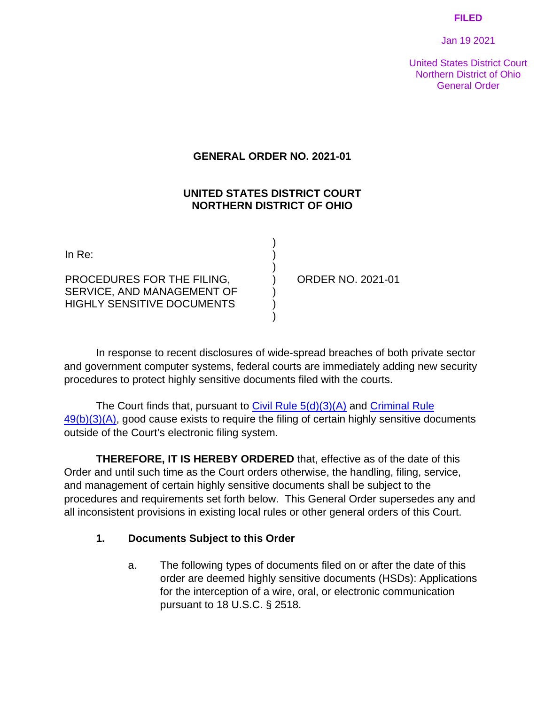#### **FILED**

Jan 19 2021

United States District Court Northern District of Ohio General Order

### **GENERAL ORDER NO. 2021-01**

### **UNITED STATES DISTRICT COURT NORTHERN DISTRICT OF OHIO**

) ) ) ) ) ) )

PROCEDURES FOR THE FILING, SERVICE, AND MANAGEMENT OF HIGHLY SENSITIVE DOCUMENTS

ORDER NO. 2021-01

In response to recent disclosures of wide-spread breaches of both private sector and government computer systems, federal courts are immediately adding new security procedures to protect highly sensitive documents filed with the courts.

The Court finds that, pursuant to [Civil Rule 5\(d\)\(3\)\(A\)](https://www.law.cornell.edu/rules/frcp/rule_5) and Criminal Rule  $49(b)(3)(A)$ , good cause exists to require the filing of certain highly sensitive documents outside of the Court's electronic filing system.

**THEREFORE, IT IS HEREBY ORDERED** that, effective as of the date of this Order and until such time as the Court orders otherwise, the handling, filing, service, and management of certain highly sensitive documents shall be subject to the procedures and requirements set forth below. This General Order supersedes any and all inconsistent provisions in existing local rules or other general orders of this Court.

### **1. Documents Subject to this Order**

a. The following types of documents filed on or after the date of this order are deemed highly sensitive documents (HSDs): Applications for the interception of a wire, oral, or electronic communication pursuant to 18 U.S.C. § 2518.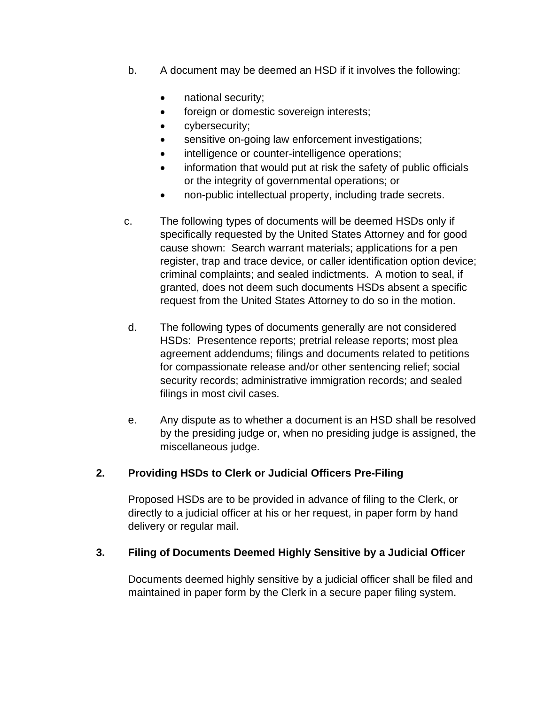- b. A document may be deemed an HSD if it involves the following:
	- national security;
	- foreign or domestic sovereign interests;
	- cybersecurity;
	- sensitive on-going law enforcement investigations;
	- intelligence or counter-intelligence operations;
	- information that would put at risk the safety of public officials or the integrity of governmental operations; or
	- non-public intellectual property, including trade secrets.
- c. The following types of documents will be deemed HSDs only if specifically requested by the United States Attorney and for good cause shown: Search warrant materials; applications for a pen register, trap and trace device, or caller identification option device; criminal complaints; and sealed indictments. A motion to seal, if granted, does not deem such documents HSDs absent a specific request from the United States Attorney to do so in the motion.
- d. The following types of documents generally are not considered HSDs: Presentence reports; pretrial release reports; most plea agreement addendums; filings and documents related to petitions for compassionate release and/or other sentencing relief; social security records; administrative immigration records; and sealed filings in most civil cases.
- e. Any dispute as to whether a document is an HSD shall be resolved by the presiding judge or, when no presiding judge is assigned, the miscellaneous judge.

### **2. Providing HSDs to Clerk or Judicial Officers Pre-Filing**

Proposed HSDs are to be provided in advance of filing to the Clerk, or directly to a judicial officer at his or her request, in paper form by hand delivery or regular mail.

### **3. Filing of Documents Deemed Highly Sensitive by a Judicial Officer**

Documents deemed highly sensitive by a judicial officer shall be filed and maintained in paper form by the Clerk in a secure paper filing system.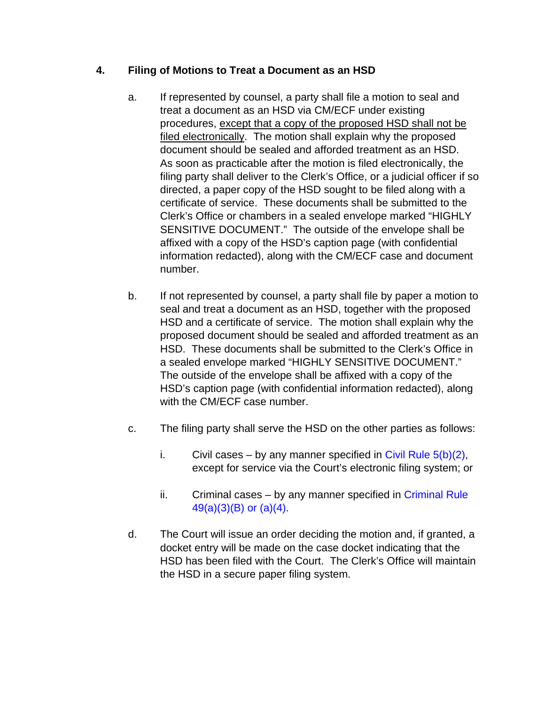# **4. Filing of Motions to Treat a Document as an HSD**

- a. If represented by counsel, a party shall file a motion to seal and treat a document as an HSD via CM/ECF under existing procedures, except that a copy of the proposed HSD shall not be filed electronically. The motion shall explain why the proposed document should be sealed and afforded treatment as an HSD. As soon as practicable after the motion is filed electronically, the filing party shall deliver to the Clerk's Office, or a judicial officer if so directed, a paper copy of the HSD sought to be filed along with a certificate of service. These documents shall be submitted to the Clerk's Office or chambers in a sealed envelope marked "HIGHLY SENSITIVE DOCUMENT." The outside of the envelope shall be affixed with a copy of the HSD's caption page (with confidential information redacted), along with the CM/ECF case and document number.
- b. If not represented by counsel, a party shall file by paper a motion to seal and treat a document as an HSD, together with the proposed HSD and a certificate of service. The motion shall explain why the proposed document should be sealed and afforded treatment as an HSD. These documents shall be submitted to the Clerk's Office in a sealed envelope marked "HIGHLY SENSITIVE DOCUMENT." The outside of the envelope shall be affixed with a copy of the HSD's caption page (with confidential information redacted), along with the CM/ECF case number.
- c. The filing party shall serve the HSD on the other parties as follows:
	- i. Civil cases by any manner specified in Civil Rule  $5(b)(2)$ , except for service via the Court's electronic filing system; or
	- ii. Criminal cases by any manner specified in [Criminal Rule](https://www.law.cornell.edu/rules/frcrmp/rule_49)  [49\(a\)\(3\)\(B\)](https://www.law.cornell.edu/rules/frcrmp/rule_49) or (a)(4).
- d. The Court will issue an order deciding the motion and, if granted, a docket entry will be made on the case docket indicating that the HSD has been filed with the Court. The Clerk's Office will maintain the HSD in a secure paper filing system.